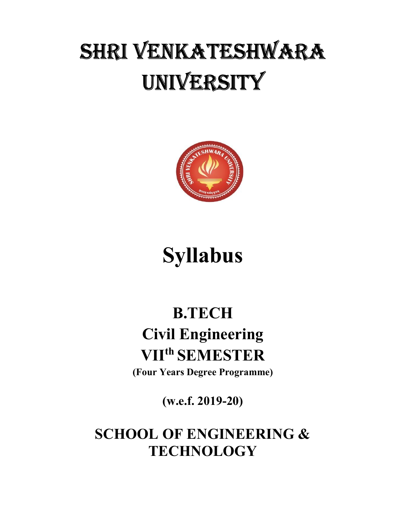# SHRI VENKATESHWARA UNIVERSITY



## Syllabus

## B.TECH Civil Engineering VIIth SEMESTER

(Four Years Degree Programme)

(w.e.f. 2019-20)

SCHOOL OF ENGINEERING & **TECHNOLOGY**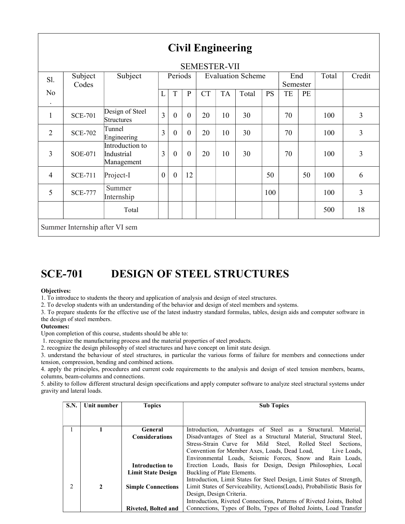| <b>SEMESTER-VII</b>         |                  |                                             |                  |                |              |                          |           |       |           |                 |    |       |        |
|-----------------------------|------------------|---------------------------------------------|------------------|----------------|--------------|--------------------------|-----------|-------|-----------|-----------------|----|-------|--------|
| Sl.                         | Subject<br>Codes | Subject                                     | Periods          |                |              | <b>Evaluation Scheme</b> |           |       |           | End<br>Semester |    | Total | Credit |
| N <sub>o</sub><br>$\bullet$ |                  |                                             | L                | $\mathbf T$    | ${\bf P}$    | <b>CT</b>                | <b>TA</b> | Total | <b>PS</b> | TE              | PE |       |        |
| $\mathbf{1}$                | <b>SCE-701</b>   | Design of Steel<br>Structures               | $\overline{3}$   | $\mathbf{0}$   | $\mathbf{0}$ | 20                       | 10        | 30    |           | 70              |    | 100   | 3      |
| $\overline{2}$              | <b>SCE-702</b>   | Tunnel<br>Engineering                       | $\overline{3}$   | $\theta$       | $\theta$     | 20                       | 10        | 30    |           | 70              |    | 100   | 3      |
| $\overline{3}$              | <b>SOE-071</b>   | Introduction to<br>Industrial<br>Management | 3                | $\mathbf{0}$   | $\mathbf{0}$ | 20                       | 10        | 30    |           | 70              |    | 100   | 3      |
| $\overline{4}$              | <b>SCE-711</b>   | Project-I                                   | $\boldsymbol{0}$ | $\overline{0}$ | 12           |                          |           |       | 50        |                 | 50 | 100   | 6      |
| 5                           | <b>SCE-777</b>   | Summer<br>Internship                        |                  |                |              |                          |           |       | 100       |                 |    | 100   | 3      |
|                             |                  | Total                                       |                  |                |              |                          |           |       |           |                 |    | 500   | 18     |

### SCE-701 DESIGN OF STEEL STRUCTURES

#### Objectives:

1. To introduce to students the theory and application of analysis and design of steel structures.

2. To develop students with an understanding of the behavior and design of steel members and systems.

3. To prepare students for the effective use of the latest industry standard formulas, tables, design aids and computer software in the design of steel members.

#### Outcomes:

Upon completion of this course, students should be able to:

1. recognize the manufacturing process and the material properties of steel products.

2. recognize the design philosophy of steel structures and have concept on limit state design.

3. understand the behaviour of steel structures, in particular the various forms of failure for members and connections under tension, compression, bending and combined actions.

4. apply the principles, procedures and current code requirements to the analysis and design of steel tension members, beams, columns, beam-columns and connections.

5. ability to follow different structural design specifications and apply computer software to analyze steel structural systems under gravity and lateral loads.

| S.N.           | Unit number | <b>Topics</b>             | <b>Sub Topics</b>                                                        |
|----------------|-------------|---------------------------|--------------------------------------------------------------------------|
|                |             |                           |                                                                          |
|                |             |                           |                                                                          |
|                |             | General                   | Introduction, Advantages of Steel as a Structural. Material,             |
|                |             | <b>Considerations</b>     | Disadvantages of Steel as a Structural Material, Structural Steel,       |
|                |             |                           | Stress-Strain Curve for Mild Steel, Rolled Steel<br>Sections.            |
|                |             |                           | Convention for Member Axes, Loads, Dead Load,<br>Live Loads.             |
|                |             |                           | Environmental Loads, Seismic Forces, Snow and Rain Loads,                |
|                |             | <b>Introduction to</b>    | Erection Loads, Basis for Design, Design Philosophies, Local             |
|                |             | <b>Limit State Design</b> | Buckling of Plate Elements.                                              |
|                |             |                           | Introduction, Limit States for Steel Design, Limit States of Strength,   |
| $\overline{2}$ | 2           | <b>Simple Connections</b> | Limit States of Serviceability, Actions (Loads), Probabilistic Basis for |
|                |             |                           | Design, Design Criteria.                                                 |
|                |             |                           | Introduction, Riveted Connections, Patterns of Riveted Joints, Bolted    |
|                |             | Riveted, Bolted and       | Connections, Types of Bolts, Types of Bolted Joints, Load Transfer       |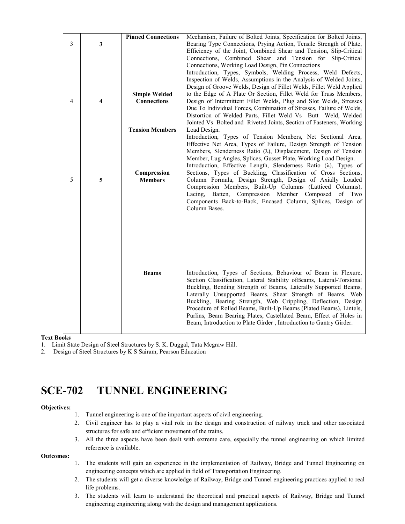|   |   | <b>Pinned Connections</b> | Mechanism, Failure of Bolted Joints, Specification for Bolted Joints,                                                               |
|---|---|---------------------------|-------------------------------------------------------------------------------------------------------------------------------------|
| 3 | 3 |                           | Bearing Type Connections, Prying Action, Tensile Strength of Plate,                                                                 |
|   |   |                           | Efficiency of the Joint, Combined Shear and Tension, Slip-Critical                                                                  |
|   |   |                           | Connections, Combined Shear and Tension for Slip-Critical                                                                           |
|   |   |                           | Connections, Working Load Design, Pin Connections<br>Introduction, Types, Symbols, Welding Process, Weld Defects,                   |
|   |   |                           | Inspection of Welds, Assumptions in the Analysis of Welded Joints,                                                                  |
|   |   |                           | Design of Groove Welds, Design of Fillet Welds, Fillet Weld Applied                                                                 |
|   |   | <b>Simple Welded</b>      | to the Edge of A Plate Or Section, Fillet Weld for Truss Members,                                                                   |
| 4 | 4 | <b>Connections</b>        | Design of Intermittent Fillet Welds, Plug and Slot Welds, Stresses                                                                  |
|   |   |                           | Due To Individual Forces, Combination of Stresses, Failure of Welds,                                                                |
|   |   |                           | Distortion of Welded Parts, Fillet Weld Vs Butt Weld, Welded<br>Jointed Vs Bolted and Riveted Joints, Section of Fasteners, Working |
|   |   | <b>Tension Members</b>    | Load Design.                                                                                                                        |
|   |   |                           | Introduction, Types of Tension Members, Net Sectional Area,                                                                         |
|   |   |                           | Effective Net Area, Types of Failure, Design Strength of Tension                                                                    |
|   |   |                           | Members, Slenderness Ratio $(\lambda)$ , Displacement, Design of Tension                                                            |
|   |   |                           | Member, Lug Angles, Splices, Gusset Plate, Working Load Design.                                                                     |
|   |   | Compression               | Introduction, Effective Length, Slenderness Ratio (λ), Types of<br>Sections, Types of Buckling, Classification of Cross Sections,   |
| 5 | 5 | <b>Members</b>            | Column Formula, Design Strength, Design of Axially Loaded                                                                           |
|   |   |                           | Compression Members, Built-Up Columns (Latticed Columns),                                                                           |
|   |   |                           | Compression Member Composed<br>Lacing,<br>Batten,<br>of<br>Two                                                                      |
|   |   |                           | Components Back-to-Back, Encased Column, Splices, Design of                                                                         |
|   |   |                           | Column Bases.                                                                                                                       |
|   |   |                           |                                                                                                                                     |
|   |   |                           |                                                                                                                                     |
|   |   |                           |                                                                                                                                     |
|   |   |                           |                                                                                                                                     |
|   |   |                           |                                                                                                                                     |
|   |   |                           |                                                                                                                                     |
|   |   | <b>Beams</b>              | Introduction, Types of Sections, Behaviour of Beam in Flexure,                                                                      |
|   |   |                           | Section Classification, Lateral Stability ofBeams, Lateral-Torsional                                                                |
|   |   |                           | Buckling, Bending Strength of Beams, Laterally Supported Beams,                                                                     |
|   |   |                           | Laterally Unsupported Beams, Shear Strength of Beams, Web                                                                           |
|   |   |                           | Buckling, Bearing Strength, Web Crippling, Deflection, Design<br>Procedure of Rolled Beams, Built-Up Beams (Plated Beams), Lintels, |
|   |   |                           | Purlins, Beam Bearing Plates, Castellated Beam, Effect of Holes in                                                                  |
|   |   |                           | Beam, Introduction to Plate Girder, Introduction to Gantry Girder.                                                                  |
|   |   |                           |                                                                                                                                     |

#### Text Books

1. Limit State Design of Steel Structures by S. K. Duggal, Tata Mcgraw Hill.

2. Design of Steel Structures by K S Sairam, Pearson Education

### SCE-702 TUNNEL ENGINEERING

#### Objectives:

- 1. Tunnel engineering is one of the important aspects of civil engineering.
- 2. Civil engineer has to play a vital role in the design and construction of railway track and other associated structures for safe and efficient movement of the trains.
- 3. All the three aspects have been dealt with extreme care, especially the tunnel engineering on which limited reference is available.

#### Outcomes:

- 1. The students will gain an experience in the implementation of Railway, Bridge and Tunnel Engineering on engineering concepts which are applied in field of Transportation Engineering.
- 2. The students will get a diverse knowledge of Railway, Bridge and Tunnel engineering practices applied to real life problems.
- 3. The students will learn to understand the theoretical and practical aspects of Railway, Bridge and Tunnel engineering engineering along with the design and management applications.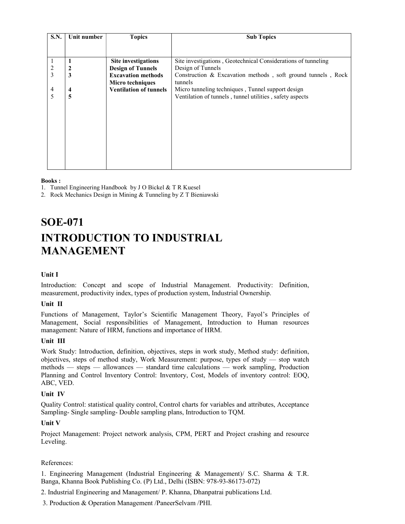| <b>S.N.</b>    | Unit number | <b>Topics</b>                 | <b>Sub Topics</b>                                             |
|----------------|-------------|-------------------------------|---------------------------------------------------------------|
|                |             |                               |                                                               |
|                |             |                               |                                                               |
|                |             | Site investigations           | Site investigations, Geotechnical Considerations of tunneling |
|                | 2           | <b>Design of Tunnels</b>      | Design of Tunnels                                             |
| 3              | 3           | <b>Excavation methods</b>     | Construction & Excavation methods, soft ground tunnels, Rock  |
|                |             | <b>Micro techniques</b>       | tunnels                                                       |
| $\overline{4}$ | 4           | <b>Ventilation of tunnels</b> | Micro tunneling techniques, Tunnel support design             |
| 5              | 5           |                               | Ventilation of tunnels, tunnel utilities, safety aspects      |
|                |             |                               |                                                               |
|                |             |                               |                                                               |
|                |             |                               |                                                               |
|                |             |                               |                                                               |
|                |             |                               |                                                               |
|                |             |                               |                                                               |
|                |             |                               |                                                               |
|                |             |                               |                                                               |
|                |             |                               |                                                               |
|                |             |                               |                                                               |

#### Books :

1. Tunnel Engineering Handbook by J O Bickel & T R Kuesel

2. Rock Mechanics Design in Mining & Tunneling by Z T Bieniawski

## SOE-071 INTRODUCTION TO INDUSTRIAL MANAGEMENT

#### Unit I

Introduction: Concept and scope of Industrial Management. Productivity: Definition, measurement, productivity index, types of production system, Industrial Ownership.

#### Unit II

Functions of Management, Taylor's Scientific Management Theory, Fayol's Principles of Management, Social responsibilities of Management, Introduction to Human resources management: Nature of HRM, functions and importance of HRM.

#### Unit III

Work Study: Introduction, definition, objectives, steps in work study, Method study: definition, objectives, steps of method study, Work Measurement: purpose, types of study — stop watch methods — steps — allowances — standard time calculations — work sampling, Production Planning and Control Inventory Control: Inventory, Cost, Models of inventory control: EOQ, ABC, VED.

#### Unit IV

Quality Control: statistical quality control, Control charts for variables and attributes, Acceptance Sampling- Single sampling- Double sampling plans, Introduction to TQM.

#### Unit V

Project Management: Project network analysis, CPM, PERT and Project crashing and resource Leveling.

#### References:

1. Engineering Management (Industrial Engineering & Management)/ S.C. Sharma & T.R. Banga, Khanna Book Publishing Co. (P) Ltd., Delhi (ISBN: 978-93-86173-072)

2. Industrial Engineering and Management/ P. Khanna, Dhanpatrai publications Ltd.

3. Production & Operation Management /PaneerSelvam /PHI.